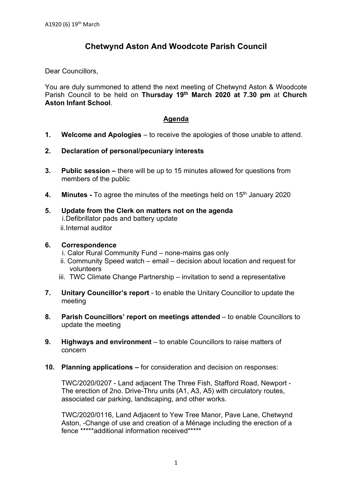# **Chetwynd Aston And Woodcote Parish Council**

Dear Councillors,

You are duly summoned to attend the next meeting of Chetwynd Aston & Woodcote Parish Council to be held on **Thursday 19th March 2020 at 7.30 pm** at **Church Aston Infant School**.

#### **Agenda**

- **1. Welcome and Apologies** to receive the apologies of those unable to attend.
- **2. Declaration of personal/pecuniary interests**
- **3. Public session** there will be up to 15 minutes allowed for questions from members of the public
- **4.** Minutes To agree the minutes of the meetings held on 15<sup>th</sup> January 2020
- **5. Update from the Clerk on matters not on the agenda**  i. Defibrillator pads and battery update ii. Internal auditor

#### **6. Correspondence**

- i. Calor Rural Community Fund none-mains gas only
- ii.Community Speed watch email decision about location and request for volunteers
- iii. TWC Climate Change Partnership invitation to send a representative
- **7. Unitary Councillor's report** to enable the Unitary Councillor to update the meeting
- **8. Parish Councillors' report on meetings attended** to enable Councillors to update the meeting
- **9. Highways and environment** to enable Councillors to raise matters of concern
- **10. Planning applications** for consideration and decision on responses:

TWC/2020/0207 - Land adjacent The Three Fish, Stafford Road, Newport - The erection of 2no. Drive-Thru units (A1, A3, A5) with circulatory routes, associated car parking, landscaping, and other works.

TWC/2020/0116, Land Adjacent to Yew Tree Manor, Pave Lane, Chetwynd Aston, -Change of use and creation of a Ménage including the erection of a fence \*\*\*\*\*additional information received\*\*\*\*\*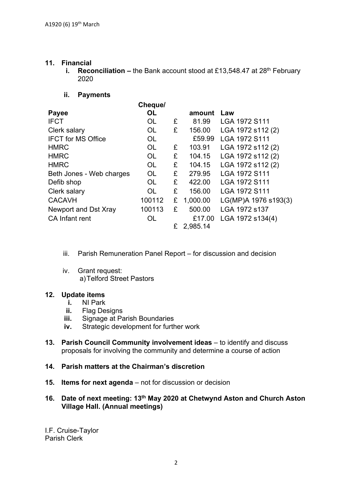#### **11. Financial**

**i.** Reconciliation – the Bank account stood at £13,548.47 at 28<sup>th</sup> February 2020

### **ii. Payments**

|                           | Cheque/   |   |          |                      |
|---------------------------|-----------|---|----------|----------------------|
| <b>Payee</b>              | OL        |   | amount   | Law                  |
| <b>IFCT</b>               | <b>OL</b> | £ | 81.99    | LGA 1972 S111        |
| Clerk salary              | OL        | £ | 156.00   | LGA 1972 s112 (2)    |
| <b>IFCT for MS Office</b> | <b>OL</b> |   | £59.99   | LGA 1972 S111        |
| <b>HMRC</b>               | OL        | £ | 103.91   | LGA 1972 s112 (2)    |
| <b>HMRC</b>               | <b>OL</b> | £ | 104.15   | LGA 1972 s112 (2)    |
| <b>HMRC</b>               | OL        | £ | 104.15   | LGA 1972 s112 (2)    |
| Beth Jones - Web charges  | <b>OL</b> | £ | 279.95   | LGA 1972 S111        |
| Defib shop                | <b>OL</b> | £ | 422.00   | LGA 1972 S111        |
| Clerk salary              | OL.       | £ | 156.00   | LGA 1972 S111        |
| <b>CACAVH</b>             | 100112    | £ | 1,000.00 | LG(MP)A 1976 s193(3) |
| Newport and Dst Xray      | 100113    | £ | 500.00   | LGA 1972 s137        |
| <b>CA Infant rent</b>     | OL        |   | £17.00   | LGA 1972 s134(4)     |
|                           |           | £ | 2,985.14 |                      |

- iii. Parish Remuneration Panel Report for discussion and decision
- iv. Grant request: a) Telford Street Pastors

## **12. Update items**

- **i.** NI Park
- **ii.** Flag Designs
- **iii.** Signage at Parish Boundaries
- **iv.** Strategic development for further work
- **13. Parish Council Community involvement ideas** to identify and discuss proposals for involving the community and determine a course of action
- **14. Parish matters at the Chairman's discretion**
- **15. Items for next agenda** not for discussion or decision
- **16. Date of next meeting: 13th May 2020 at Chetwynd Aston and Church Aston Village Hall. (Annual meetings)**

I.F. Cruise-Taylor Parish Clerk